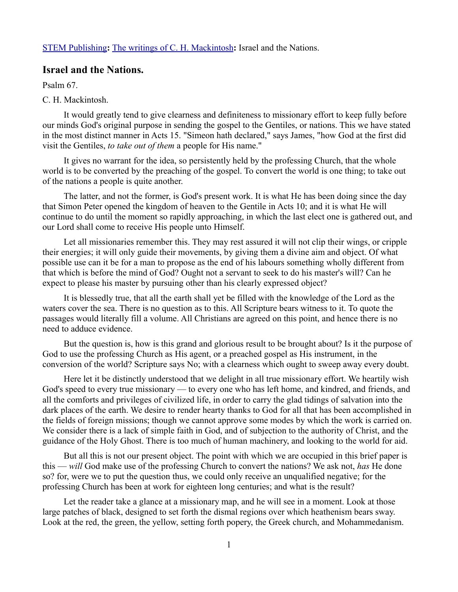[STEM Publishing](http://www.stempublishing.com/)**:** [The writings of C. H. Mackintosh](http://www.stempublishing.com/authors/mackintosh/index.html)**:** Israel and the Nations.

## **Israel and the Nations.**

Psalm 67.

## C. H. Mackintosh.

It would greatly tend to give clearness and definiteness to missionary effort to keep fully before our minds God's original purpose in sending the gospel to the Gentiles, or nations. This we have stated in the most distinct manner in Acts 15. "Simeon hath declared," says James, "how God at the first did visit the Gentiles, *to take out of them* a people for His name."

It gives no warrant for the idea, so persistently held by the professing Church, that the whole world is to be converted by the preaching of the gospel. To convert the world is one thing; to take out of the nations a people is quite another.

The latter, and not the former, is God's present work. It is what He has been doing since the day that Simon Peter opened the kingdom of heaven to the Gentile in Acts 10; and it is what He will continue to do until the moment so rapidly approaching, in which the last elect one is gathered out, and our Lord shall come to receive His people unto Himself.

Let all missionaries remember this. They may rest assured it will not clip their wings, or cripple their energies; it will only guide their movements, by giving them a divine aim and object. Of what possible use can it be for a man to propose as the end of his labours something wholly different from that which is before the mind of God? Ought not a servant to seek to do his master's will? Can he expect to please his master by pursuing other than his clearly expressed object?

It is blessedly true, that all the earth shall yet be filled with the knowledge of the Lord as the waters cover the sea. There is no question as to this. All Scripture bears witness to it. To quote the passages would literally fill a volume. All Christians are agreed on this point, and hence there is no need to adduce evidence.

But the question is, how is this grand and glorious result to be brought about? Is it the purpose of God to use the professing Church as His agent, or a preached gospel as His instrument, in the conversion of the world? Scripture says No; with a clearness which ought to sweep away every doubt.

Here let it be distinctly understood that we delight in all true missionary effort. We heartily wish God's speed to every true missionary — to every one who has left home, and kindred, and friends, and all the comforts and privileges of civilized life, in order to carry the glad tidings of salvation into the dark places of the earth. We desire to render hearty thanks to God for all that has been accomplished in the fields of foreign missions; though we cannot approve some modes by which the work is carried on. We consider there is a lack of simple faith in God, and of subjection to the authority of Christ, and the guidance of the Holy Ghost. There is too much of human machinery, and looking to the world for aid.

But all this is not our present object. The point with which we are occupied in this brief paper is this — *will* God make use of the professing Church to convert the nations? We ask not, *has* He done so? for, were we to put the question thus, we could only receive an unqualified negative; for the professing Church has been at work for eighteen long centuries; and what is the result?

Let the reader take a glance at a missionary map, and he will see in a moment. Look at those large patches of black, designed to set forth the dismal regions over which heathenism bears sway. Look at the red, the green, the yellow, setting forth popery, the Greek church, and Mohammedanism.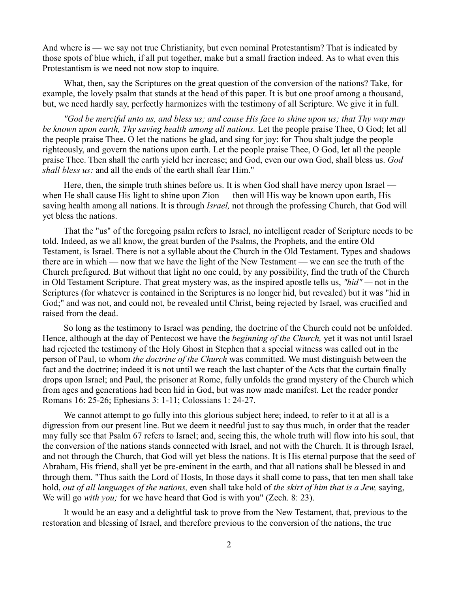And where is — we say not true Christianity, but even nominal Protestantism? That is indicated by those spots of blue which, if all put together, make but a small fraction indeed. As to what even this Protestantism is we need not now stop to inquire.

What, then, say the Scriptures on the great question of the conversion of the nations? Take, for example, the lovely psalm that stands at the head of this paper. It is but one proof among a thousand, but, we need hardly say, perfectly harmonizes with the testimony of all Scripture. We give it in full.

*"God be merciful unto us, and bless us; and cause His face to shine upon us; that Thy way may be known upon earth, Thy saving health among all nations.* Let the people praise Thee, O God; let all the people praise Thee. O let the nations be glad, and sing for joy: for Thou shalt judge the people righteously, and govern the nations upon earth. Let the people praise Thee, O God, let all the people praise Thee. Then shall the earth yield her increase; and God, even our own God, shall bless us. *God shall bless us:* and all the ends of the earth shall fear Him."

Here, then, the simple truth shines before us. It is when God shall have mercy upon Israel when He shall cause His light to shine upon Zion — then will His way be known upon earth, His saving health among all nations. It is through *Israel,* not through the professing Church, that God will yet bless the nations.

That the "us" of the foregoing psalm refers to Israel, no intelligent reader of Scripture needs to be told. Indeed, as we all know, the great burden of the Psalms, the Prophets, and the entire Old Testament, is Israel. There is not a syllable about the Church in the Old Testament. Types and shadows there are in which — now that we have the light of the New Testament — we can see the truth of the Church prefigured. But without that light no one could, by any possibility, find the truth of the Church in Old Testament Scripture. That great mystery was, as the inspired apostle tells us, *"hid" —* not in the Scriptures (for whatever is contained in the Scriptures is no longer hid, but revealed) but it was "hid in God;" and was not, and could not, be revealed until Christ, being rejected by Israel, was crucified and raised from the dead.

So long as the testimony to Israel was pending, the doctrine of the Church could not be unfolded. Hence, although at the day of Pentecost we have the *beginning of the Church,* yet it was not until Israel had rejected the testimony of the Holy Ghost in Stephen that a special witness was called out in the person of Paul, to whom *the doctrine of the Church* was committed. We must distinguish between the fact and the doctrine; indeed it is not until we reach the last chapter of the Acts that the curtain finally drops upon Israel; and Paul, the prisoner at Rome, fully unfolds the grand mystery of the Church which from ages and generations had been hid in God, but was now made manifest. Let the reader ponder Romans 16: 25-26; Ephesians 3: 1-11; Colossians 1: 24-27.

We cannot attempt to go fully into this glorious subject here; indeed, to refer to it at all is a digression from our present line. But we deem it needful just to say thus much, in order that the reader may fully see that Psalm 67 refers to Israel; and, seeing this, the whole truth will flow into his soul, that the conversion of the nations stands connected with Israel, and not with the Church. It is through Israel, and not through the Church, that God will yet bless the nations. It is His eternal purpose that the seed of Abraham, His friend, shall yet be pre-eminent in the earth, and that all nations shall be blessed in and through them. "Thus saith the Lord of Hosts, In those days it shall come to pass, that ten men shall take hold, *out of all languages of the nations,* even shall take hold of *the skirt of him that is a Jew,* saying, We will go *with you;* for we have heard that God is with you" (Zech. 8: 23).

It would be an easy and a delightful task to prove from the New Testament, that, previous to the restoration and blessing of Israel, and therefore previous to the conversion of the nations, the true